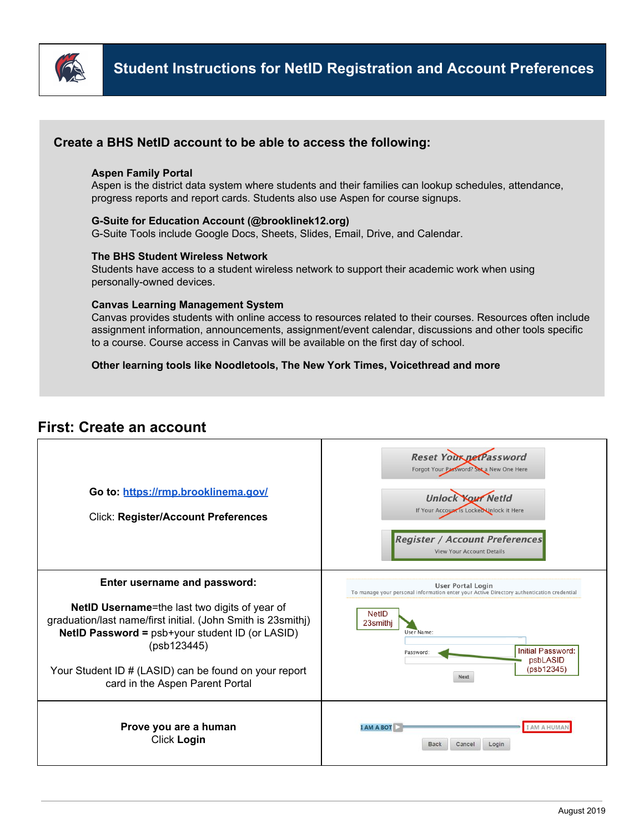

# **Create a BHS NetID account to be able to access the following:**

# **Aspen Family Portal**

Aspen is the district data system where students and their families can lookup schedules, attendance, progress reports and report cards. Students also use Aspen for course signups.

# **G-Suite for Education Account (@brooklinek12.org)**

G-Suite Tools include Google Docs, Sheets, Slides, Email, Drive, and Calendar.

#### **The BHS Student Wireless Network**

Students have access to a student wireless network to support their academic work when using personally-owned devices.

#### **Canvas Learning Management System**

Canvas provides students with online access to resources related to their courses. Resources often include assignment information, announcements, assignment/event calendar, discussions and other tools specific to a course. Course access in Canvas will be available on the first day of school.

# **Other learning tools like Noodletools, The New York Times, Voicethread and more**

# **First: Create an account**